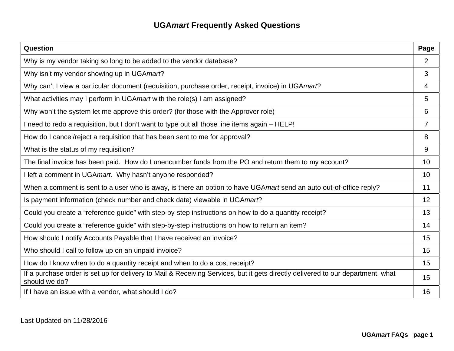| Question                                                                                                                                         | Page            |
|--------------------------------------------------------------------------------------------------------------------------------------------------|-----------------|
| Why is my vendor taking so long to be added to the vendor database?                                                                              | $\overline{2}$  |
| Why isn't my vendor showing up in UGAmart?                                                                                                       | 3               |
| Why can't I view a particular document (requisition, purchase order, receipt, invoice) in UGAmart?                                               | 4               |
| What activities may I perform in UGA mart with the role(s) I am assigned?                                                                        | 5               |
| Why won't the system let me approve this order? (for those with the Approver role)                                                               | 6               |
| I need to redo a requisition, but I don't want to type out all those line items again – HELP!                                                    | $\overline{7}$  |
| How do I cancel/reject a requisition that has been sent to me for approval?                                                                      | 8               |
| What is the status of my requisition?                                                                                                            | 9               |
| The final invoice has been paid. How do I unencumber funds from the PO and return them to my account?                                            | 10 <sup>1</sup> |
| I left a comment in UGA mart. Why hasn't anyone responded?                                                                                       | 10 <sup>°</sup> |
| When a comment is sent to a user who is away, is there an option to have UGAmart send an auto out-of-office reply?                               | 11              |
| Is payment information (check number and check date) viewable in UGA mart?                                                                       | 12              |
| Could you create a "reference guide" with step-by-step instructions on how to do a quantity receipt?                                             | 13              |
| Could you create a "reference guide" with step-by-step instructions on how to return an item?                                                    | 14              |
| How should I notify Accounts Payable that I have received an invoice?                                                                            | 15              |
| Who should I call to follow up on an unpaid invoice?                                                                                             | 15              |
| How do I know when to do a quantity receipt and when to do a cost receipt?                                                                       | 15              |
| If a purchase order is set up for delivery to Mail & Receiving Services, but it gets directly delivered to our department, what<br>should we do? | 15              |
| If I have an issue with a vendor, what should I do?                                                                                              | 16              |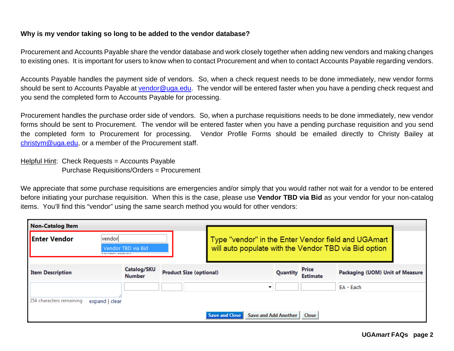## **Why is my vendor taking so long to be added to the vendor database?**

Procurement and Accounts Payable share the vendor database and work closely together when adding new vendors and making changes to existing ones. It is important for users to know when to contact Procurement and when to contact Accounts Payable regarding vendors.

Accounts Payable handles the payment side of vendors. So, when a check request needs to be done immediately, new vendor forms should be sent to Accounts Payable at vendor@uga.edu. The vendor will be entered faster when you have a pending check request and you send the completed form to Accounts Payable for processing.

Procurement handles the purchase order side of vendors. So, when a purchase requisitions needs to be done immediately, new vendor forms should be sent to Procurement. The vendor will be entered faster when you have a pending purchase requisition and you send the completed form to Procurement for processing. Vendor Profile Forms should be emailed directly to Christy Bailey at christym@uga.edu, or a member of the Procurement staff.

Helpful Hint: Check Requests = Accounts Payable Purchase Requisitions/Orders = Procurement

We appreciate that some purchase requisitions are emergencies and/or simply that you would rather not wait for a vendor to be entered before initiating your purchase requisition. When this is the case, please use **Vendor TBD via Bid** as your vendor for your non-catalog items. You'll find this "vendor" using the same search method you would for other vendors:

| <b>Non-Catalog Item</b>  |                                    |                              |                                |                                                                                                              |          |                          |                                 |
|--------------------------|------------------------------------|------------------------------|--------------------------------|--------------------------------------------------------------------------------------------------------------|----------|--------------------------|---------------------------------|
| <b>Enter Vendor</b>      | vendon<br><b>CONTRACT SECURITY</b> | Vendor TBD via Bid           |                                | Type "vendor" in the Enter Vendor field and UGAmart<br>will auto populate with the Vendor TBD via Bid option |          |                          |                                 |
| <b>Item Description</b>  |                                    | Catalog/SKU<br><b>Number</b> | <b>Product Size (optional)</b> |                                                                                                              | Quantity | Price<br><b>Estimate</b> | Packaging (UOM) Unit of Measure |
|                          |                                    |                              |                                |                                                                                                              |          |                          | EA - Each                       |
| 254 characters remaining | expand   clear                     |                              |                                |                                                                                                              |          |                          |                                 |
|                          |                                    |                              |                                | Save and Add Another<br>Save and Close                                                                       |          | <b>Close</b>             |                                 |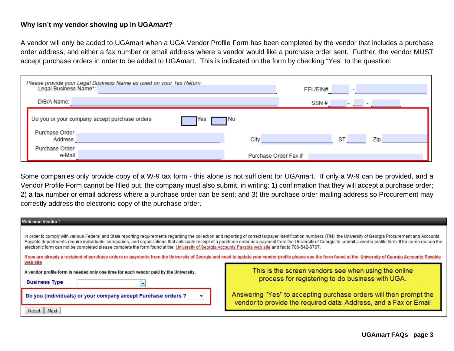### **Why isn't my vendor showing up in UGA***mart***?**

A vendor will only be added to UGAmart when a UGA Vendor Profile Form has been completed by the vendor that includes a purchase order address, and either a fax number or email address where a vendor would like a purchase order sent. Further, the vendor MUST accept purchase orders in order to be added to UGAmart. This is indicated on the form by checking "Yes" to the question:

| Please provide your Legal Business Name as used on your Tax Return<br>Legal Business Name*: | FEI /EIN#<br>$\overline{\phantom{a}}$ |
|---------------------------------------------------------------------------------------------|---------------------------------------|
| D/B/A Name:                                                                                 | SSN#                                  |
| Do you or your company accept purchase orders<br>Yes                                        | 1 NO                                  |
| Purchase Order<br>Address                                                                   | City<br>ST<br>Zip                     |
| Purchase Order<br>e-Mail                                                                    | Purchase Order Fax #                  |

Some companies only provide copy of a W-9 tax form - this alone is not sufficient for UGAmart. If only a W-9 can be provided, and a Vendor Profile Form cannot be filled out, the company must also submit, in writing: 1) confirmation that they will accept a purchase order; 2) a fax number or email address where a purchase order can be sent; and 3) the purchase order mailing address so Procurement may correctly address the electronic copy of the purchase order.

| <b>Welcome Vendor!</b>                                                                                                                                          |                                                                                                                                                                                                                                                                                                                                                                                                                                                                                                                                                                                                                                                              |
|-----------------------------------------------------------------------------------------------------------------------------------------------------------------|--------------------------------------------------------------------------------------------------------------------------------------------------------------------------------------------------------------------------------------------------------------------------------------------------------------------------------------------------------------------------------------------------------------------------------------------------------------------------------------------------------------------------------------------------------------------------------------------------------------------------------------------------------------|
| electronic form can not be completed please complete the form found at the University of Georgia Accounts Payable web site and fax to 706-542-6767.<br>web site | In order to comply with various Federal and State reporting requirements regarding the collection and reporting of correct taxpayer identification numbers (TIN), the University of Georgia Procurement and Accounts<br>Payable departments require individuals, companies, and organizations that anticipate receipt of a purchase order or a payment from the University of Georgia to submit a vendor profile form. If for some reason the<br>If you are already a recipient of purchase orders or payments from the University of Georgia and need to update your vendor profile please use the form found at the University of Georgia Accounts Payable |
| A vendor profile form is needed only one time for each vendor paid by the University.<br><b>Business Type</b>                                                   | This is the screen vendors see when using the online<br>process for registering to do business with UGA.                                                                                                                                                                                                                                                                                                                                                                                                                                                                                                                                                     |
| Do you (individuals) or your company accept Purchase orders ?<br>Next<br>Reset                                                                                  | Answering "Yes" to accepting purchase orders will then prompt the<br>vendor to provide the required data: Address, and a Fax or Email                                                                                                                                                                                                                                                                                                                                                                                                                                                                                                                        |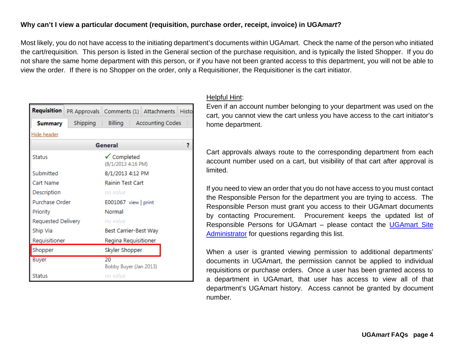# **Why can't I view a particular document (requisition, purchase order, receipt, invoice) in UGA***mart***?**

Most likely, you do not have access to the initiating department's documents within UGAmart. Check the name of the person who initiated the cart/requisition. This person is listed in the General section of the purchase requisition, and is typically the listed Shopper. If you do not share the same home department with this person, or if you have not been granted access to this department, you will not be able to view the order. If there is no Shopper on the order, only a Requisitioner, the Requisitioner is the cart initiator.

| <b>Requisition</b>           |                    | PR Approvals Comments (1) Attachments Histo |                            |   |  |  |  |
|------------------------------|--------------------|---------------------------------------------|----------------------------|---|--|--|--|
| Shipping  <br><b>Summary</b> |                    |                                             | Billing   Accounting Codes |   |  |  |  |
| Hide header                  |                    |                                             |                            |   |  |  |  |
|                              |                    | General                                     |                            | 7 |  |  |  |
| <b>Status</b>                |                    | √ Completed<br>(8/1/2013 4:16 PM)           |                            |   |  |  |  |
| Submitted                    |                    | 8/1/2013 4:12 PM                            |                            |   |  |  |  |
| Cart Name                    |                    | <b>Rainin Test Cart</b>                     |                            |   |  |  |  |
| Description                  |                    | no value                                    |                            |   |  |  |  |
| Purchase Order               |                    | E001067 view   print                        |                            |   |  |  |  |
| Priority                     |                    | Normal                                      |                            |   |  |  |  |
|                              | Requested Delivery |                                             | no value                   |   |  |  |  |
| Ship Via                     |                    | Best Carrier-Best Way                       |                            |   |  |  |  |
| Requisitioner                |                    | Regina Requisitioner                        |                            |   |  |  |  |
| Shopper                      |                    | Skyler Shopper                              |                            |   |  |  |  |
| <b>Buyer</b>                 |                    | 20<br>Bobby Buyer (Jan 2013)                |                            |   |  |  |  |
| <b>Status</b>                |                    | no value                                    |                            |   |  |  |  |

### Helpful Hint:

Even if an account number belonging to your department was used on the cart, you cannot view the cart unless you have access to the cart initiator's home department.

Cart approvals always route to the corresponding department from each account number used on a cart, but visibility of that cart after approval is limited.

If you need to view an order that you do not have access to you must contact the Responsible Person for the department you are trying to access. The Responsible Person must grant you access to their UGAmart documents by contacting Procurement. Procurement keeps the updated list of Responsible Persons for UGAmart – please contact the UGAmart Site Administrator for questions regarding this list.

When a user is granted viewing permission to additional departments' documents in UGAmart, the permission cannot be applied to individual requisitions or purchase orders. Once a user has been granted access to a department in UGAmart, that user has access to view all of that department's UGAmart history. Access cannot be granted by document number.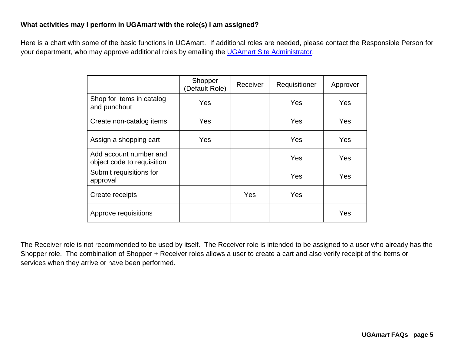# **What activities may I perform in UGA***mart* **with the role(s) I am assigned?**

Here is a chart with some of the basic functions in UGAmart. If additional roles are needed, please contact the Responsible Person for your department, who may approve additional roles by emailing the UGAmart Site Administrator.

|                                                      | Shopper<br>(Default Role) | Receiver | Requisitioner | Approver |
|------------------------------------------------------|---------------------------|----------|---------------|----------|
| Shop for items in catalog<br>and punchout            | Yes                       |          | Yes           | Yes      |
| Create non-catalog items                             | Yes                       |          | Yes           | Yes      |
| Assign a shopping cart                               | Yes                       |          | Yes           | Yes      |
| Add account number and<br>object code to requisition |                           |          | Yes           | Yes      |
| Submit requisitions for<br>approval                  |                           |          | Yes           | Yes      |
| Create receipts                                      |                           | Yes      | Yes           |          |
| Approve requisitions                                 |                           |          |               | Yes      |

The Receiver role is not recommended to be used by itself. The Receiver role is intended to be assigned to a user who already has the Shopper role. The combination of Shopper + Receiver roles allows a user to create a cart and also verify receipt of the items or services when they arrive or have been performed.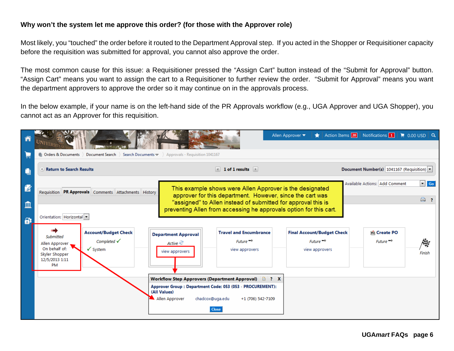## **Why won't the system let me approve this order? (for those with the Approver role)**

Most likely, you "touched" the order before it routed to the Department Approval step. If you acted in the Shopper or Requisitioner capacity before the requisition was submitted for approval, you cannot also approve the order.

The most common cause for this issue: a Requisitioner pressed the "Assign Cart" button instead of the "Submit for Approval" button. "Assign Cart" means you want to assign the cart to a Requisitioner to further review the order. "Submit for Approval" means you want the department approvers to approve the order so it may continue on in the approvals process.

In the below example, if your name is on the left-hand side of the PR Approvals workflow (e.g., UGA Approver and UGA Shopper), you cannot act as an Approver for this requisition.

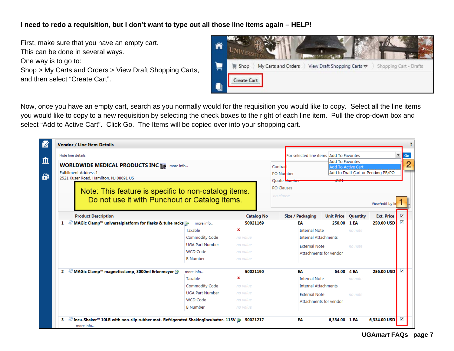# **I need to redo a requisition, but I don't want to type out all those line items again – HELP!**

First, make sure that you have an empty cart. This can be done in several ways. One way is to go to: Shop > My Carts and Orders > View Draft Shopping Carts, and then select "Create Cart".



Now, once you have an empty cart, search as you normally would for the requisition you would like to copy. Select all the line items you would like to copy to a new requisition by selecting the check boxes to the right of each line item. Pull the drop-down box and select "Add to Active Cart". Click Go. The Items will be copied over into your shopping cart.

| <b>Vendor / Line Item Details</b>                                                                     |                        |                                                                  |                           |                                          |                            |         |                                    |   |
|-------------------------------------------------------------------------------------------------------|------------------------|------------------------------------------------------------------|---------------------------|------------------------------------------|----------------------------|---------|------------------------------------|---|
| Hide line details                                                                                     |                        |                                                                  |                           | For selected line items Add To Favorites |                            |         |                                    | ۰ |
| WORLDWIDE MEDICAL PRODUCTS INC THE more info<br><b>Fulfillment Address 1</b>                          |                        | <b>Add To Favorites</b><br>Contract<br><b>Add To Active Cart</b> |                           |                                          |                            |         |                                    |   |
| 2521 Kuser Road, Hamilton, NJ 08691 US                                                                |                        |                                                                  | PO Number<br>Ouote Humber |                                          | 4101                       |         | Add to Draft Cart or Pending PR/PO |   |
| Note: This feature is specific to non-catalog items.<br>Do not use it with Punchout or Catalog items. |                        |                                                                  | PO Clauses<br>no clause   |                                          |                            |         | View/edit by I                     |   |
| <b>Product Description</b>                                                                            |                        | <b>Catalog No</b>                                                |                           | Size / Packaging                         | <b>Unit Price Quantity</b> |         | <b>Ext. Price</b>                  |   |
| MAGic Clamp™ universalplatform for flasks & tube racks <b>D</b><br>1                                  | more info              | 50021169                                                         |                           | ЕΑ                                       | 250.00 1 EA                |         | 250.00 USD                         |   |
|                                                                                                       | Taxable                | ×                                                                |                           | <b>Internal Note</b>                     |                            | no note |                                    |   |
|                                                                                                       | Commodity Code         | no value                                                         |                           | <b>Internal Attachments</b>              |                            |         |                                    |   |
|                                                                                                       | <b>UGA Part Number</b> | no value                                                         |                           | <b>External Note</b>                     |                            | no note |                                    |   |
|                                                                                                       | <b>WCD Code</b>        | no value                                                         |                           | Attachments for vendor                   |                            |         |                                    |   |
|                                                                                                       | <b>B</b> Number        | no value                                                         |                           |                                          |                            |         |                                    |   |
| MAGic Clamp™ magneticclamp, 3000ml Erlenmeyer D<br>2                                                  | more info              | 50021190                                                         |                           | EΑ                                       | 64.00 4 EA                 |         | 256.00 USD                         |   |
|                                                                                                       | Taxable                | ×                                                                |                           | <b>Internal Note</b>                     |                            | no note |                                    |   |
|                                                                                                       | Commodity Code         | no value                                                         |                           | <b>Internal Attachments</b>              |                            |         |                                    |   |
|                                                                                                       | <b>UGA Part Number</b> | no value                                                         |                           | <b>External Note</b>                     |                            | no note |                                    |   |
| <b>WCD Code</b>                                                                                       |                        | no value                                                         |                           | Attachments for vendor                   |                            |         |                                    |   |
|                                                                                                       | <b>B</b> Number        | no value                                                         |                           |                                          |                            |         |                                    |   |
|                                                                                                       |                        |                                                                  |                           |                                          |                            |         |                                    |   |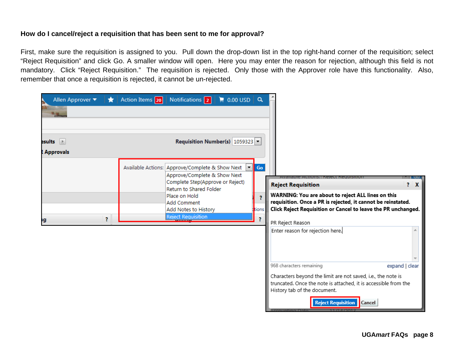# **How do I cancel/reject a requisition that has been sent to me for approval?**

First, make sure the requisition is assigned to you. Pull down the drop-down list in the top right-hand corner of the requisition; select "Reject Requisition" and click Go. A smaller window will open. Here you may enter the reason for rejection, although this field is not mandatory. Click "Reject Requisition." The requisition is rejected. Only those with the Approver role have this functionality. Also, remember that once a requisition is rejected, it cannot be un-rejected.

| Allen Approver $\blacktriangledown$   | $\bigstar$ Action Items 20<br>Notifications 2                                     | $\parallel$ 0.00 USD Q                                                                      |                  |                                                                                                                                                                                                                                                                                        |
|---------------------------------------|-----------------------------------------------------------------------------------|---------------------------------------------------------------------------------------------|------------------|----------------------------------------------------------------------------------------------------------------------------------------------------------------------------------------------------------------------------------------------------------------------------------------|
| $\mathsf{esults}$<br><b>Approvals</b> | Available Actions: Approve/Complete & Show Next                                   | Requisition Number(s) $1059323$ $\rightarrow$                                               | Go               |                                                                                                                                                                                                                                                                                        |
| ş.<br>١g                              | Place on Hold<br><b>Add Comment</b><br>Add Notes to History<br>Reject Requisition | Approve/Complete & Show Next<br>Complete Step(Approve or Reject)<br>Return to Shared Folder | Ŧ.<br>tions<br>2 | $2 \times$<br><b>Reject Requisition</b><br>WARNING: You are about to reject ALL lines on this<br>requisition. Once a PR is rejected, it cannot be reinstated.<br>Click Reject Requisition or Cancel to leave the PR unchanged.<br>PR Reject Reason<br>Enter reason for rejection here. |
|                                       |                                                                                   |                                                                                             |                  | 968 characters remaining<br>expand   clear<br>Characters beyond the limit are not saved, i.e., the note is<br>truncated. Once the note is attached, it is accessible from the<br>History tab of the document.<br><b>Reject Requisition</b><br>Cancel<br><b>Locaupting Data</b>         |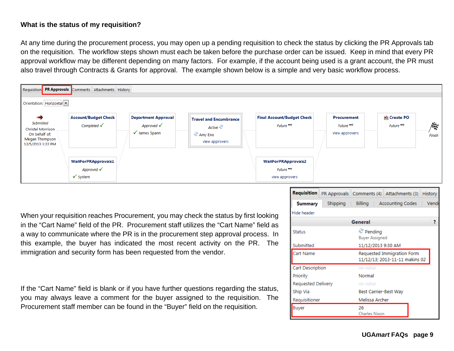# **What is the status of my requisition?**

At any time during the procurement process, you may open up a pending requisition to check the status by clicking the PR Approvals tab on the requisition. The workflow steps shown must each be taken before the purchase order can be issued. Keep in mind that every PR approval workflow may be different depending on many factors. For example, if the account being used is a grant account, the PR must also travel through Contracts & Grants for approval. The example shown below is a simple and very basic workflow process.



When your requisition reaches Procurement, you may check the status by first looking in the "Cart Name" field of the PR. Procurement staff utilizes the "Cart Name" field as a way to communicate where the PR is in the procurement step approval process. In this example, the buyer has indicated the most recent activity on the PR. The immigration and security form has been requested from the vendor.

If the "Cart Name" field is blank or if you have further questions regarding the status, you may always leave a comment for the buyer assigned to the requisition. The Procurement staff member can be found in the "Buyer" field on the requisition.

| Requisition             |          | PR Approvals   Comments (4)   Attachments (3) |                                                              | History |  |  |  |
|-------------------------|----------|-----------------------------------------------|--------------------------------------------------------------|---------|--|--|--|
| <b>Summary</b>          | Shipping | Billing                                       | <b>Accounting Codes</b>                                      | Vend    |  |  |  |
| Hide header             |          |                                               |                                                              |         |  |  |  |
|                         |          | General                                       |                                                              | 7       |  |  |  |
| <b>Status</b>           |          | Pendina                                       | <b>Buyer Assigned</b>                                        |         |  |  |  |
| Submitted               |          |                                               | 11/12/2013 9:30 AM                                           |         |  |  |  |
| Cart Name               |          |                                               | Requested Immigration Form<br>11/12/13; 2013-11-11 makins 02 |         |  |  |  |
| <b>Cart Description</b> |          | no value                                      |                                                              |         |  |  |  |
| Priority                |          | Normal                                        |                                                              |         |  |  |  |
| Requested Delivery      |          | no value                                      |                                                              |         |  |  |  |
| Ship Via                |          |                                               | Best Carrier-Best Way                                        |         |  |  |  |
| Requisitioner           |          |                                               | Melissa Archer                                               |         |  |  |  |
| Buyer                   |          | 26<br>Charles Nixon                           |                                                              |         |  |  |  |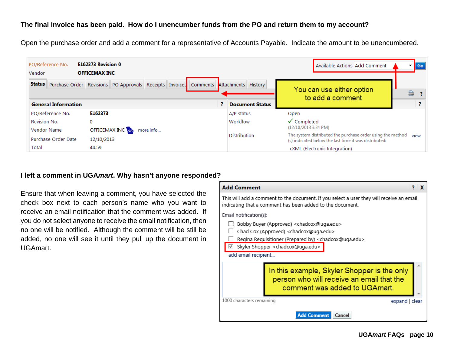## **The final invoice has been paid. How do I unencumber funds from the PO and return them to my account?**

Open the purchase order and add a comment for a representative of Accounts Payable. Indicate the amount to be unencumbered.



#### **I left a comment in UGA***mart***. Why hasn't anyone responded?**

Ensure that when leaving a comment, you have selected the check box next to each person's name who you want to receive an email notification that the comment was added. If you do not select anyone to receive the email notification, then no one will be notified. Although the comment will be still be added, no one will see it until they pull up the document in UGAmart.

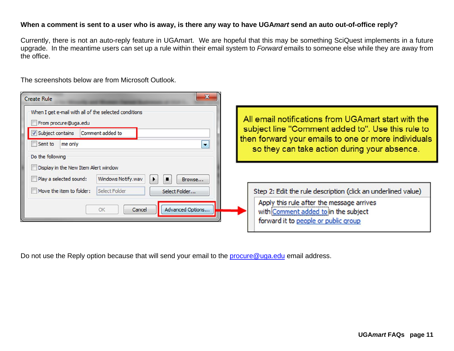# **When a comment is sent to a user who is away, is there any way to have UGA***mart* **send an auto out-of-office reply?**

Currently, there is not an auto-reply feature in UGAmart. We are hopeful that this may be something SciQuest implements in a future upgrade. In the meantime users can set up a rule within their email system to *Forward* emails to someone else while they are away from the office.

The screenshots below are from Microsoft Outlook.

| $\mathbf{x}$<br><b>Create Rule</b>                                                                                                                                                  |                                                                                                                                                                                                                  |
|-------------------------------------------------------------------------------------------------------------------------------------------------------------------------------------|------------------------------------------------------------------------------------------------------------------------------------------------------------------------------------------------------------------|
| When I get e-mail with all of the selected conditions<br>From procure@uga.edu<br>V Subject contains<br>Comment added to<br>Sent to<br>me only<br>$\blacksquare$<br>Do the following | All email notifications from UGA mart start with the<br>subject line "Comment added to". Use this rule to<br>then forward your emails to one or more individuals<br>so they can take action during your absence. |
| Display in the New Item Alert window<br>Windows Notify.wav<br>Play a selected sound:<br>п<br>Browse                                                                                 |                                                                                                                                                                                                                  |
| Move the item to folder:<br>Select Folder<br>Select Folder                                                                                                                          | Step 2: Edit the rule description (click an underlined value)                                                                                                                                                    |
| Advanced Options<br>Cancel<br>OK                                                                                                                                                    | Apply this rule after the message arrives<br>with Comment added to in the subject<br>forward it to people or public group                                                                                        |

Do not use the Reply option because that will send your email to the **procure@uga.edu** email address.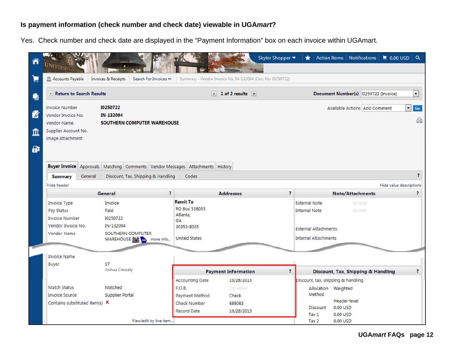# **Is payment information (check number and check date) viewable in UGA***mart***?**

Yes. Check number and check date are displayed in the "Payment Information" box on each invoice within UGAmart.

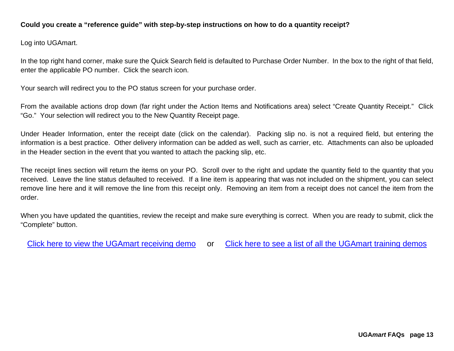# **Could you create a "reference guide" with step-by-step instructions on how to do a quantity receipt?**

Log into UGAmart.

In the top right hand corner, make sure the Quick Search field is defaulted to Purchase Order Number. In the box to the right of that field, enter the applicable PO number. Click the search icon.

Your search will redirect you to the PO status screen for your purchase order.

From the available actions drop down (far right under the Action Items and Notifications area) select "Create Quantity Receipt." Click "Go." Your selection will redirect you to the New Quantity Receipt page.

Under Header Information, enter the receipt date (click on the calendar). Packing slip no. is not a required field, but entering the information is a best practice. Other delivery information can be added as well, such as carrier, etc. Attachments can also be uploaded in the Header section in the event that you wanted to attach the packing slip, etc.

The receipt lines section will return the items on your PO. Scroll over to the right and update the quantity field to the quantity that you received. Leave the line status defaulted to received. If a line item is appearing that was not included on the shipment, you can select remove line here and it will remove the line from this receipt only. Removing an item from a receipt does not cancel the item from the order.

When you have updated the quantities, review the receipt and make sure everything is correct. When you are ready to submit, click the "Complete" button.

Click here to view the UGAmart receiving demo or Click here to see a list of all the UGAmart training demos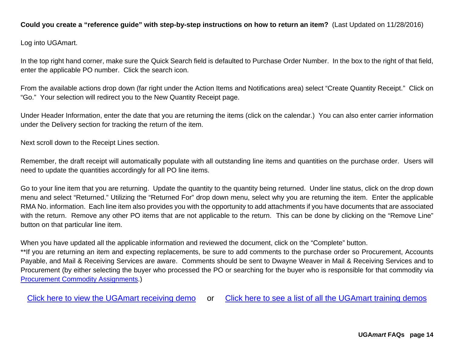# **Could you create a "reference guide" with step-by-step instructions on how to return an item?** (Last Updated on 11/28/2016)

Log into UGAmart.

In the top right hand corner, make sure the Quick Search field is defaulted to Purchase Order Number. In the box to the right of that field, enter the applicable PO number. Click the search icon.

From the available actions drop down (far right under the Action Items and Notifications area) select "Create Quantity Receipt." Click on "Go." Your selection will redirect you to the New Quantity Receipt page.

Under Header Information, enter the date that you are returning the items (click on the calendar.) You can also enter carrier information under the Delivery section for tracking the return of the item.

Next scroll down to the Receipt Lines section.

Remember, the draft receipt will automatically populate with all outstanding line items and quantities on the purchase order. Users will need to update the quantities accordingly for all PO line items.

Go to your line item that you are returning. Update the quantity to the quantity being returned. Under line status, click on the drop down menu and select "Returned." Utilizing the "Returned For" drop down menu, select why you are returning the item. Enter the applicable RMA No. information. Each line item also provides you with the opportunity to add attachments if you have documents that are associated with the return. Remove any other PO items that are not applicable to the return. This can be done by clicking on the "Remove Line" button on that particular line item.

When you have updated all the applicable information and reviewed the document, click on the "Complete" button.

\*\*If you are returning an item and expecting replacements, be sure to add comments to the purchase order so Procurement, Accounts Payable, and Mail & Receiving Services are aware. Comments should be sent to Dwayne Weaver in Mail & Receiving Services and to Procurement (by either selecting the buyer who processed the PO or searching for the buyer who is responsible for that commodity via Procurement Commodity Assignments.)

Click here to view the UGAmart receiving demo or Click here to see a list of all the UGAmart training demos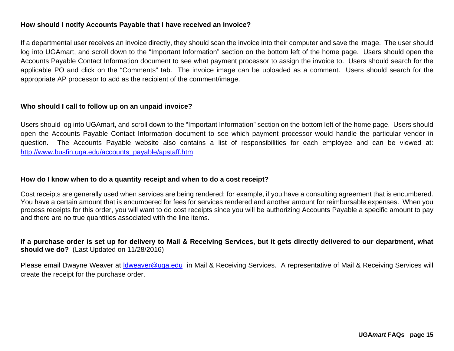### **How should I notify Accounts Payable that I have received an invoice?**

If a departmental user receives an invoice directly, they should scan the invoice into their computer and save the image. The user should log into UGAmart, and scroll down to the "Important Information" section on the bottom left of the home page. Users should open the Accounts Payable Contact Information document to see what payment processor to assign the invoice to. Users should search for the applicable PO and click on the "Comments" tab. The invoice image can be uploaded as a comment. Users should search for the appropriate AP processor to add as the recipient of the comment/image.

#### **Who should I call to follow up on an unpaid invoice?**

Users should log into UGAmart, and scroll down to the "Important Information" section on the bottom left of the home page. Users should open the Accounts Payable Contact Information document to see which payment processor would handle the particular vendor in question. The Accounts Payable website also contains a list of responsibilities for each employee and can be viewed at: http://www.busfin.uga.edu/accounts\_payable/apstaff.htm

#### **How do I know when to do a quantity receipt and when to do a cost receipt?**

Cost receipts are generally used when services are being rendered; for example, if you have a consulting agreement that is encumbered. You have a certain amount that is encumbered for fees for services rendered and another amount for reimbursable expenses. When you process receipts for this order, you will want to do cost receipts since you will be authorizing Accounts Payable a specific amount to pay and there are no true quantities associated with the line items.

# **If a purchase order is set up for delivery to Mail & Receiving Services, but it gets directly delivered to our department, what should we do?** (Last Updated on 11/28/2016)

Please email Dwayne Weaver at Idweaver@uga.edu in Mail & Receiving Services. A representative of Mail & Receiving Services will create the receipt for the purchase order.